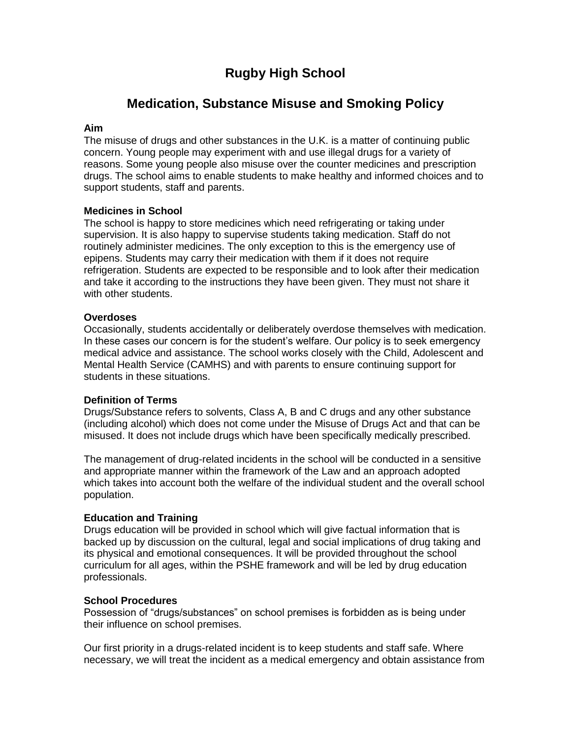# **Rugby High School**

# **Medication, Substance Misuse and Smoking Policy**

### **Aim**

The misuse of drugs and other substances in the U.K. is a matter of continuing public concern. Young people may experiment with and use illegal drugs for a variety of reasons. Some young people also misuse over the counter medicines and prescription drugs. The school aims to enable students to make healthy and informed choices and to support students, staff and parents.

### **Medicines in School**

The school is happy to store medicines which need refrigerating or taking under supervision. It is also happy to supervise students taking medication. Staff do not routinely administer medicines. The only exception to this is the emergency use of epipens. Students may carry their medication with them if it does not require refrigeration. Students are expected to be responsible and to look after their medication and take it according to the instructions they have been given. They must not share it with other students.

### **Overdoses**

Occasionally, students accidentally or deliberately overdose themselves with medication. In these cases our concern is for the student's welfare. Our policy is to seek emergency medical advice and assistance. The school works closely with the Child, Adolescent and Mental Health Service (CAMHS) and with parents to ensure continuing support for students in these situations.

# **Definition of Terms**

Drugs/Substance refers to solvents, Class A, B and C drugs and any other substance (including alcohol) which does not come under the Misuse of Drugs Act and that can be misused. It does not include drugs which have been specifically medically prescribed.

The management of drug-related incidents in the school will be conducted in a sensitive and appropriate manner within the framework of the Law and an approach adopted which takes into account both the welfare of the individual student and the overall school population.

# **Education and Training**

Drugs education will be provided in school which will give factual information that is backed up by discussion on the cultural, legal and social implications of drug taking and its physical and emotional consequences. It will be provided throughout the school curriculum for all ages, within the PSHE framework and will be led by drug education professionals.

#### **School Procedures**

Possession of "drugs/substances" on school premises is forbidden as is being under their influence on school premises.

Our first priority in a drugs-related incident is to keep students and staff safe. Where necessary, we will treat the incident as a medical emergency and obtain assistance from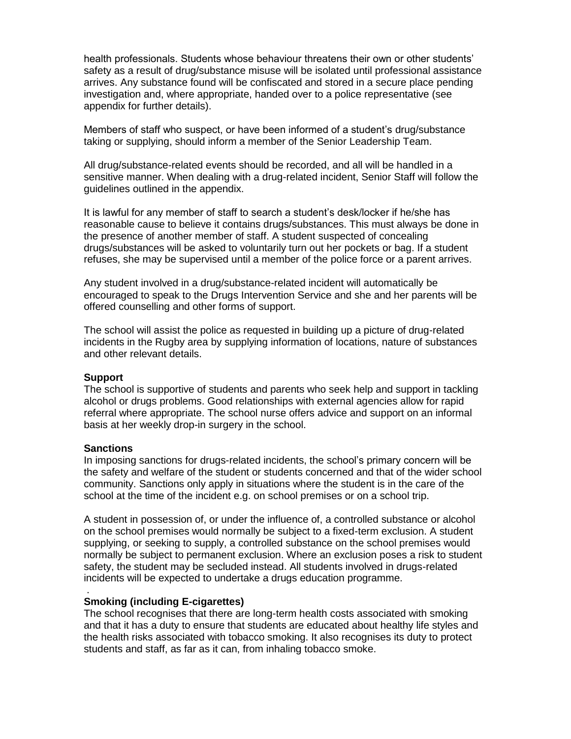health professionals. Students whose behaviour threatens their own or other students' safety as a result of drug/substance misuse will be isolated until professional assistance arrives. Any substance found will be confiscated and stored in a secure place pending investigation and, where appropriate, handed over to a police representative (see appendix for further details).

Members of staff who suspect, or have been informed of a student's drug/substance taking or supplying, should inform a member of the Senior Leadership Team.

All drug/substance-related events should be recorded, and all will be handled in a sensitive manner. When dealing with a drug-related incident, Senior Staff will follow the guidelines outlined in the appendix.

It is lawful for any member of staff to search a student's desk/locker if he/she has reasonable cause to believe it contains drugs/substances. This must always be done in the presence of another member of staff. A student suspected of concealing drugs/substances will be asked to voluntarily turn out her pockets or bag. If a student refuses, she may be supervised until a member of the police force or a parent arrives.

Any student involved in a drug/substance-related incident will automatically be encouraged to speak to the Drugs Intervention Service and she and her parents will be offered counselling and other forms of support.

The school will assist the police as requested in building up a picture of drug-related incidents in the Rugby area by supplying information of locations, nature of substances and other relevant details.

#### **Support**

The school is supportive of students and parents who seek help and support in tackling alcohol or drugs problems. Good relationships with external agencies allow for rapid referral where appropriate. The school nurse offers advice and support on an informal basis at her weekly drop-in surgery in the school.

#### **Sanctions**

.

In imposing sanctions for drugs-related incidents, the school's primary concern will be the safety and welfare of the student or students concerned and that of the wider school community. Sanctions only apply in situations where the student is in the care of the school at the time of the incident e.g. on school premises or on a school trip.

A student in possession of, or under the influence of, a controlled substance or alcohol on the school premises would normally be subject to a fixed-term exclusion. A student supplying, or seeking to supply, a controlled substance on the school premises would normally be subject to permanent exclusion. Where an exclusion poses a risk to student safety, the student may be secluded instead. All students involved in drugs-related incidents will be expected to undertake a drugs education programme.

#### **Smoking (including E-cigarettes)**

The school recognises that there are long-term health costs associated with smoking and that it has a duty to ensure that students are educated about healthy life styles and the health risks associated with tobacco smoking. It also recognises its duty to protect students and staff, as far as it can, from inhaling tobacco smoke.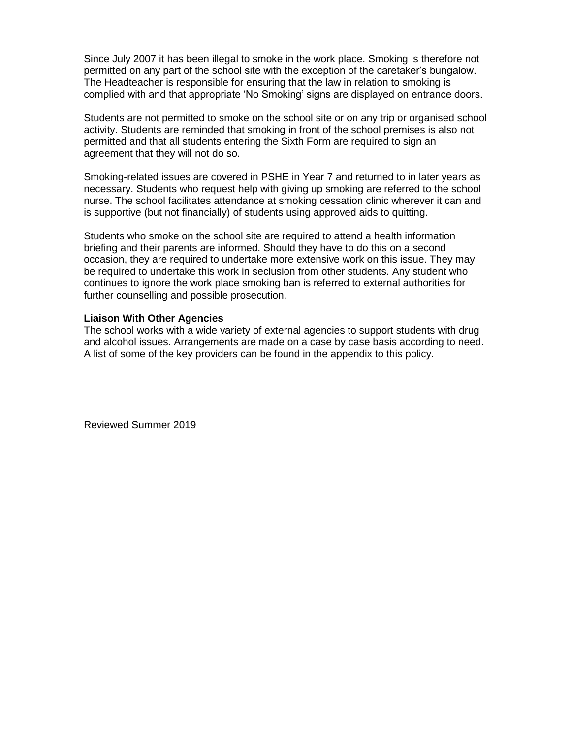Since July 2007 it has been illegal to smoke in the work place. Smoking is therefore not permitted on any part of the school site with the exception of the caretaker's bungalow. The Headteacher is responsible for ensuring that the law in relation to smoking is complied with and that appropriate 'No Smoking' signs are displayed on entrance doors.

Students are not permitted to smoke on the school site or on any trip or organised school activity. Students are reminded that smoking in front of the school premises is also not permitted and that all students entering the Sixth Form are required to sign an agreement that they will not do so.

Smoking-related issues are covered in PSHE in Year 7 and returned to in later years as necessary. Students who request help with giving up smoking are referred to the school nurse. The school facilitates attendance at smoking cessation clinic wherever it can and is supportive (but not financially) of students using approved aids to quitting.

Students who smoke on the school site are required to attend a health information briefing and their parents are informed. Should they have to do this on a second occasion, they are required to undertake more extensive work on this issue. They may be required to undertake this work in seclusion from other students. Any student who continues to ignore the work place smoking ban is referred to external authorities for further counselling and possible prosecution.

#### **Liaison With Other Agencies**

The school works with a wide variety of external agencies to support students with drug and alcohol issues. Arrangements are made on a case by case basis according to need. A list of some of the key providers can be found in the appendix to this policy.

Reviewed Summer 2019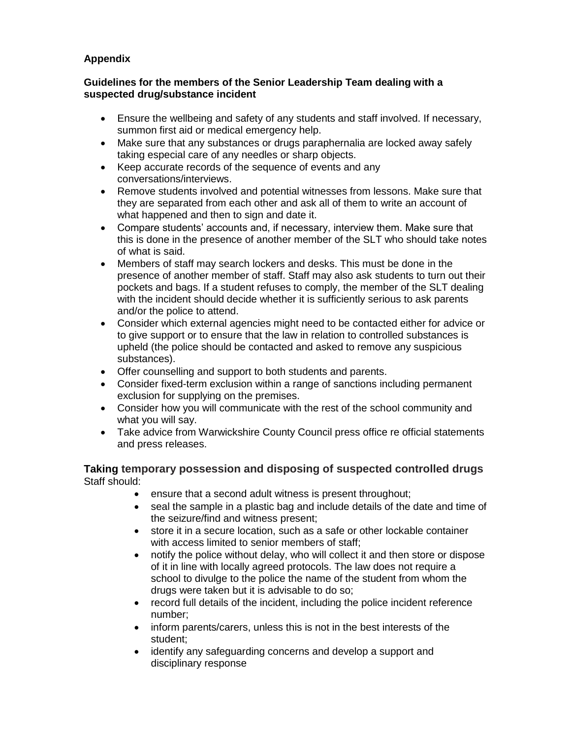# **Appendix**

# **Guidelines for the members of the Senior Leadership Team dealing with a suspected drug/substance incident**

- Ensure the wellbeing and safety of any students and staff involved. If necessary, summon first aid or medical emergency help.
- Make sure that any substances or drugs paraphernalia are locked away safely taking especial care of any needles or sharp objects.
- Keep accurate records of the sequence of events and any conversations/interviews.
- Remove students involved and potential witnesses from lessons. Make sure that they are separated from each other and ask all of them to write an account of what happened and then to sign and date it.
- Compare students' accounts and, if necessary, interview them. Make sure that this is done in the presence of another member of the SLT who should take notes of what is said.
- Members of staff may search lockers and desks. This must be done in the presence of another member of staff. Staff may also ask students to turn out their pockets and bags. If a student refuses to comply, the member of the SLT dealing with the incident should decide whether it is sufficiently serious to ask parents and/or the police to attend.
- Consider which external agencies might need to be contacted either for advice or to give support or to ensure that the law in relation to controlled substances is upheld (the police should be contacted and asked to remove any suspicious substances).
- Offer counselling and support to both students and parents.
- Consider fixed-term exclusion within a range of sanctions including permanent exclusion for supplying on the premises.
- Consider how you will communicate with the rest of the school community and what you will say.
- Take advice from Warwickshire County Council press office re official statements and press releases.

# **Taking temporary possession and disposing of suspected controlled drugs** Staff should:

- ensure that a second adult witness is present throughout;
- seal the sample in a plastic bag and include details of the date and time of the seizure/find and witness present;
- store it in a secure location, such as a safe or other lockable container with access limited to senior members of staff:
- notify the police without delay, who will collect it and then store or dispose of it in line with locally agreed protocols. The law does not require a school to divulge to the police the name of the student from whom the drugs were taken but it is advisable to do so;
- record full details of the incident, including the police incident reference number;
- inform parents/carers, unless this is not in the best interests of the student;
- identify any safeguarding concerns and develop a support and disciplinary response